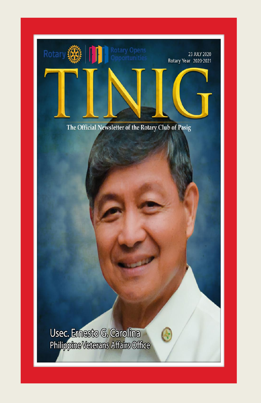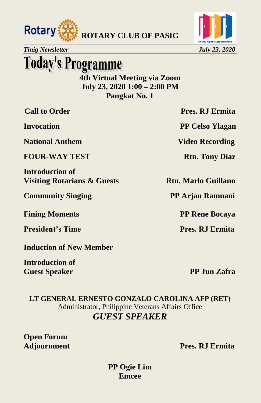



## **Today's Programme**

**4th Virtual Meeting via Zoom July 23, 2020 1:00 – 2:00 PM Pangkat No. 1**

**National Anthem Video Recording** 

**FOUR-WAY TEST** Rtn. Tony Diaz

**Introduction of Visiting Rotarians & Guests Rtn. Marlo Guillano** 

**Community Singing PP Arjan Ramnani** 

**Fining Moments PP Rene Bocaya** 

**President's Time Pres. RJ Ermita** 

**Induction of New Member**

**Introduction of Guest Speaker PP Jun Zafra** 

**Call to Order Pres. RJ Ermita** 

**Invocation** PP Celso Ylagan

**LT GENERAL ERNESTO GONZALO CAROLINA AFP (RET)** Administrator, Philippine Veterans Affairs Office *GUEST SPEAKER*

**Open Forum**

**Adjournment Pres. RJ Ermita**

**PP Ogie Lim Emcee**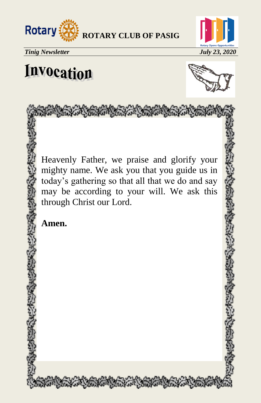



# **Invocation**



Heavenly Father, we praise and glorify your mighty name. We ask you that you guide us in today's gathering so that all that we do and say may be according to your will. We ask this through Christ our Lord.

AT A MAN THE STANDARD STATE OF THE STATE

**Amen.**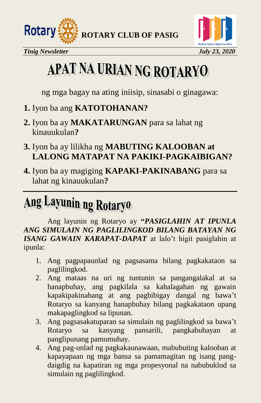





# APAT NA URIAN NG ROTARYO

ng mga bagay na ating iniisip, sinasabi o ginagawa:

- **1.** Iyon ba ang **KATOTOHANAN?**
- **2.** Iyon ba ay **MAKATARUNGAN** para sa lahat ng kinauukulan**?**
- **3.** Iyon ba ay lilikha ng **MABUTING KALOOBAN at LALONG MATAPAT NA PAKIKI-PAGKAIBIGAN?**
- **4.** Iyon ba ay magiging **KAPAKI-PAKINABANG** para sa lahat ng kinauukulan**?**

# Ang Layunin ng Rotaryo

Ang layunin ng Rotaryo ay **"***PASIGLAHIN AT IPUNLA ANG SIMULAIN NG PAGLILINGKOD BILANG BATAYAN NG ISANG GAWAIN KARAPAT-DAPAT* at lalo't higit pasiglahin at ipunla:

- 1. Ang pagpapaunlad ng pagsasama bilang pagkakataon sa paglilingkod.
- 2. Ang mataas na uri ng tuntunin sa pangangalakal at sa hanapbuhay, ang pagkilala sa kahalagahan ng gawain kapakipakinabang at ang pagbibigay dangal ng bawa't Rotaryo sa kanyang hanapbuhay bilang pagkakataon upang makapaglingkod sa lipunan.
- 3. Ang pagsasakatuparan sa simulain ng paglilingkod sa bawa't Rotaryo sa kanyang pansarili, pangkabuhayan at panglipunang pamumuhay.
- 4. Ang pag-unlad ng pagkakaunawaan, mabubuting kalooban at kapayapaan ng mga bansa sa pamamagitan ng isang pangdaigdig na kapatiran ng mga propesyonal na nabubuklod sa simulain ng paglilingkod.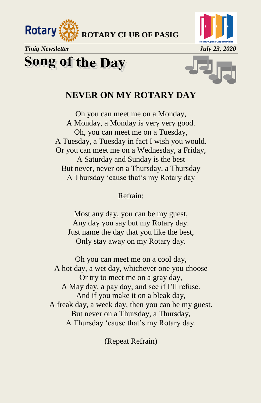







#### **NEVER ON MY ROTARY DAY**

Oh you can meet me on a Monday, A Monday, a Monday is very very good. Oh, you can meet me on a Tuesday, A Tuesday, a Tuesday in fact I wish you would. Or you can meet me on a Wednesday, a Friday, A Saturday and Sunday is the best But never, never on a Thursday, a Thursday A Thursday 'cause that's my Rotary day

Refrain:

Most any day, you can be my guest, Any day you say but my Rotary day. Just name the day that you like the best, Only stay away on my Rotary day.

Oh you can meet me on a cool day, A hot day, a wet day, whichever one you choose Or try to meet me on a gray day, A May day, a pay day, and see if I'll refuse. And if you make it on a bleak day, A freak day, a week day, then you can be my guest. But never on a Thursday, a Thursday, A Thursday 'cause that's my Rotary day.

(Repeat Refrain)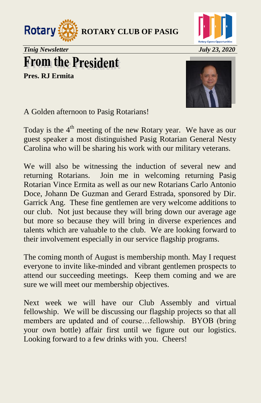



# **From the President**

**Pres. RJ Ermita**



A Golden afternoon to Pasig Rotarians!

Today is the 4<sup>th</sup> meeting of the new Rotary year. We have as our guest speaker a most distinguished Pasig Rotarian General Nesty Carolina who will be sharing his work with our military veterans.

We will also be witnessing the induction of several new and returning Rotarians. Join me in welcoming returning Pasig Rotarian Vince Ermita as well as our new Rotarians Carlo Antonio Doce, Johann De Guzman and Gerard Estrada, sponsored by Dir. Garrick Ang. These fine gentlemen are very welcome additions to our club. Not just because they will bring down our average age but more so because they will bring in diverse experiences and talents which are valuable to the club. We are looking forward to their involvement especially in our service flagship programs.

The coming month of August is membership month. May I request everyone to invite like-minded and vibrant gentlemen prospects to attend our succeeding meetings. Keep them coming and we are sure we will meet our membership objectives.

Next week we will have our Club Assembly and virtual fellowship. We will be discussing our flagship projects so that all members are updated and of course…fellowship. BYOB (bring your own bottle) affair first until we figure out our logistics. Looking forward to a few drinks with you. Cheers!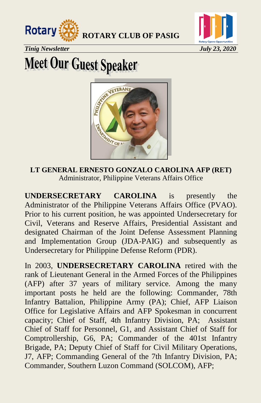



*Tinig Newsletter July 23, 2020* 

# **Meet Our Guest Speaker**



**LT GENERAL ERNESTO GONZALO CAROLINA AFP (RET)**  Administrator, Philippine Veterans Affairs Office

**UNDERSECRETARY CAROLINA** is presently the Administrator of the Philippine Veterans Affairs Office (PVAO). Prior to his current position, he was appointed Undersecretary for Civil, Veterans and Reserve Affairs, Presidential Assistant and designated Chairman of the Joint Defense Assessment Planning and Implementation Group (JDA-PAIG) and subsequently as Undersecretary for Philippine Defense Reform (PDR).

In 2003, **UNDERSECRETARY CAROLINA** retired with the rank of Lieutenant General in the Armed Forces of the Philippines (AFP) after 37 years of military service. Among the many important posts he held are the following: Commander, 78th Infantry Battalion, Philippine Army (PA); Chief, AFP Liaison Office for Legislative Affairs and AFP Spokesman in concurrent capacity; Chief of Staff, 4th Infantry Division, PA; Assistant Chief of Staff for Personnel, G1, and Assistant Chief of Staff for Comptrollership, G6, PA; Commander of the 401st Infantry Brigade, PA; Deputy Chief of Staff for Civil Military Operations, J7, AFP; Commanding General of the 7th Infantry Division, PA; Commander, Southern Luzon Command (SOLCOM), AFP;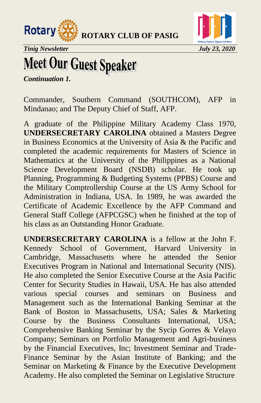



*Tinig Newsletter July 23, 2020* 

# **Meet Our Guest Speaker**

*Continuation 1.* 

Commander, Southern Command (SOUTHCOM), AFP in Mindanao; and The Deputy Chief of Staff, AFP.

A graduate of the Philippine Military Academy Class 1970, **UNDERSECRETARY CAROLINA** obtained a Masters Degree in Business Economics at the University of Asia & the Pacific and completed the academic requirements for Masters of Science in Mathematics at the University of the Philippines as a National Science Development Board (NSDB) scholar. He took up Planning, Programming & Budgeting Systems (PPBS) Course and the Military Comptrollership Course at the US Army School for Administration in Indiana, USA. In 1989, he was awarded the Certificate of Academic Excellence by the AFP Command and General Staff College (AFPCGSC) when he finished at the top of his class as an Outstanding Honor Graduate.

**UNDERSECRETARY CAROLINA** is a fellow at the John F. Kennedy School of Government, Harvard University in Cambridge, Massachusetts where he attended the Senior Executives Program in National and International Security (NIS). He also completed the Senior Executive Course at the Asia Pacific Center for Security Studies in Hawaii, USA. He has also attended various special courses and seminars on Business and Management such as the International Banking Seminar at the Bank of Boston in Massachusetts, USA; Sales & Marketing Course by the Business Consultants International, USA; Comprehensive Banking Seminar by the Sycip Gorres & Velayo Company; Seminars on Portfolio Management and Agri-business by the Financial Executives, Inc; Investment Seminar and Trade-Finance Seminar by the Asian Institute of Banking; and the Seminar on Marketing & Finance by the Executive Development Academy. He also completed the Seminar on Legislative Structure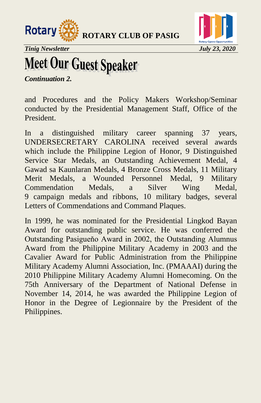



*Tinig Newsletter July 23, 2020* 

## **Meet Our Guest Speaker**

*Continuation 2.* 

and Procedures and the Policy Makers Workshop/Seminar conducted by the Presidential Management Staff, Office of the President.

In a distinguished military career spanning 37 years, UNDERSECRETARY CAROLINA received several awards which include the Philippine Legion of Honor, 9 Distinguished Service Star Medals, an Outstanding Achievement Medal, 4 Gawad sa Kaunlaran Medals, 4 Bronze Cross Medals, 11 Military Merit Medals, a Wounded Personnel Medal, 9 Military Commendation Medals, a Silver Wing Medal, 9 campaign medals and ribbons, 10 military badges, several Letters of Commendations and Command Plaques.

In 1999, he was nominated for the Presidential Lingkod Bayan Award for outstanding public service. He was conferred the Outstanding Pasigueňo Award in 2002, the Outstanding Alumnus Award from the Philippine Military Academy in 2003 and the Cavalier Award for Public Administration from the Philippine Military Academy Alumni Association, Inc. (PMAAAI) during the 2010 Philippine Military Academy Alumni Homecoming. On the 75th Anniversary of the Department of National Defense in November 14, 2014, he was awarded the Philippine Legion of Honor in the Degree of Legionnaire by the President of the Philippines.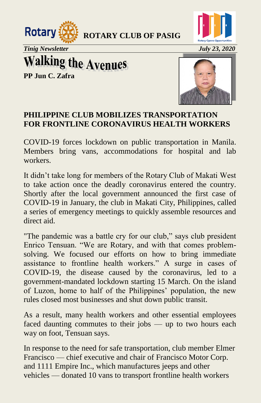



*Tinig Newsletter July 23, 2020* 

**Walking the Avenues** 

**PP Jun C. Zafra** 



#### **PHILIPPINE CLUB MOBILIZES TRANSPORTATION FOR FRONTLINE CORONAVIRUS HEALTH WORKERS**

COVID-19 forces lockdown on public transportation in Manila. Members bring vans, accommodations for hospital and lab workers.

It didn't take long for members of the Rotary Club of Makati West to take action once the deadly coronavirus entered the country. Shortly after the local government announced the first case of COVID-19 in January, the club in Makati City, Philippines, called a series of emergency meetings to quickly assemble resources and direct aid.

"The pandemic was a battle cry for our club," says club president Enrico Tensuan. "We are Rotary, and with that comes problemsolving. We focused our efforts on how to bring immediate assistance to frontline health workers." A surge in cases of COVID-19, the disease caused by the coronavirus, led to a government-mandated lockdown starting 15 March. On the island of Luzon, home to half of the Philippines' population, the new rules closed most businesses and shut down public transit.

As a result, many health workers and other essential employees faced daunting commutes to their jobs — up to two hours each way on foot, Tensuan says.

In response to the need for safe transportation, club member Elmer Francisco — chief executive and chair of Francisco Motor Corp. and 1111 Empire Inc., which manufactures jeeps and other vehicles — donated 10 vans to transport frontline health workers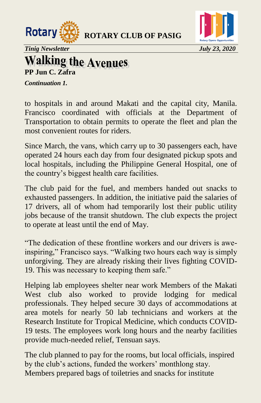



*Tinig Newsletter July 23, 2020* 

#### **Walking the Avenues PP Jun C. Zafra**

*Continuation 1.* 

to hospitals in and around Makati and the capital city, Manila. Francisco coordinated with officials at the Department of Transportation to obtain permits to operate the fleet and plan the most convenient routes for riders.

Since March, the vans, which carry up to 30 passengers each, have operated 24 hours each day from four designated pickup spots and local hospitals, including the Philippine General Hospital, one of the country's biggest health care facilities.

The club paid for the fuel, and members handed out snacks to exhausted passengers. In addition, the initiative paid the salaries of 17 drivers, all of whom had temporarily lost their public utility jobs because of the transit shutdown. The club expects the project to operate at least until the end of May.

―The dedication of these frontline workers and our drivers is aweinspiring," Francisco says. "Walking two hours each way is simply unforgiving. They are already risking their lives fighting COVID-19. This was necessary to keeping them safe."

Helping lab employees shelter near work Members of the Makati West club also worked to provide lodging for medical professionals. They helped secure 30 days of accommodations at area motels for nearly 50 lab technicians and workers at the Research Institute for Tropical Medicine, which conducts COVID-19 tests. The employees work long hours and the nearby facilities provide much-needed relief, Tensuan says.

The club planned to pay for the rooms, but local officials, inspired by the club's actions, funded the workers' monthlong stay. Members prepared bags of toiletries and snacks for institute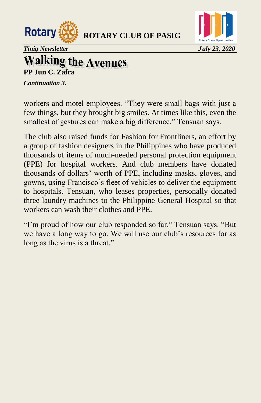



*Tinig Newsletter July 23, 2020* 

# **Walking the Avenues**

*Continuation 3.* 

workers and motel employees. "They were small bags with just a few things, but they brought big smiles. At times like this, even the smallest of gestures can make a big difference," Tensuan says.

The club also raised funds for Fashion for Frontliners, an effort by a group of fashion designers in the Philippines who have produced thousands of items of much-needed personal protection equipment (PPE) for hospital workers. And club members have donated thousands of dollars' worth of PPE, including masks, gloves, and gowns, using Francisco's fleet of vehicles to deliver the equipment to hospitals. Tensuan, who leases properties, personally donated three laundry machines to the Philippine General Hospital so that workers can wash their clothes and PPE.

"I'm proud of how our club responded so far," Tensuan says. "But we have a long way to go. We will use our club's resources for as long as the virus is a threat."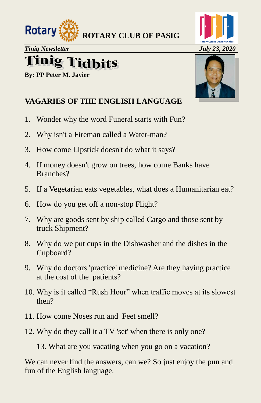



## **Tinig Tidbits**

**By: PP Peter M. Javier** 



#### **VAGARIES OF THE ENGLISH LANGUAGE**

- 1. Wonder why the word Funeral starts with Fun?
- 2. Why isn't a Fireman called a Water-man?
- 3. How come Lipstick doesn't do what it says?
- 4. If money doesn't grow on trees, how come Banks have Branches?
- 5. If a Vegetarian eats vegetables, what does a Humanitarian eat?
- 6. How do you get off a non-stop Flight?
- 7. Why are goods sent by ship called Cargo and those sent by truck Shipment?
- 8. Why do we put cups in the Dishwasher and the dishes in the Cupboard?
- 9. Why do doctors 'practice' medicine? Are they having practice at the cost of the patients?
- 10. Why is it called "Rush Hour" when traffic moves at its slowest then?
- 11. How come Noses run and Feet smell?
- 12. Why do they call it a TV 'set' when there is only one?

13. What are you vacating when you go on a vacation?

We can never find the answers, can we? So just enjoy the pun and fun of the English language.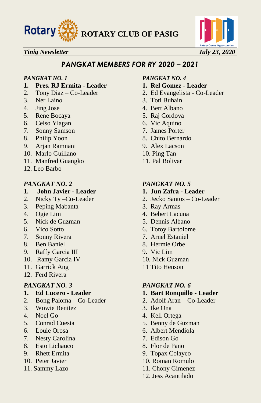



#### *PANGKAT MEMBERS FOR RY 2020 – 2021*

- **1. Pres. RJ Ermita Leader 1. Rel Gomez Leader**
- 
- 3. Ner Laino 3. Toti Buhain
- 
- 5. Rene Bocaya 5. Raj Cordova
- 6. Celso Ylagan 6. Vic Aquino
- 7. Sonny Samson 7. James Porter
- 
- 9. Arjan Ramnani 9. Alex Lacson
- 10. Marlo Guillano 10. Ping Tan
- 11. Manfred Guangko 11. Pal Bolivar
- 12. Leo Barbo

#### *PANGKAT NO. 2 PANGKAT NO. 5*

- **1. John Javier Leader 1. Jun Zafra Leader**
- 
- 3. Peping Mabanta 3. Ray Armas
- 
- 5. Nick de Guzman 5. Dennis Albano
- 
- 
- 
- 9. Raffy Garcia III 9. Vic Lim
- 10. Ramy Garcia IV 10. Nick Guzman
- 11. Garrick Ang 11 Tito Henson
- 12. Ferd Rivera

- 
- 2. Bong Paloma Co-Leader 2. Adolf Aran Co-Leader
- 3. Wowie Benitez 3. Ike Ona
- 
- 
- 
- 7. Nesty Carolina 7. Edison Go
- 8. Esto Lichauco 8. Flor de Pano
- 
- 
- 

#### *PANGKAT NO. 1 PANGKAT NO. 4*

- 
- 2. Tony Diaz Co-Leader 2. Ed Evangelista Co-Leader
	-
- 4. Jing Jose 4. Bert Albano
	-
	-
	-
- 8. Philip Yoon 8. Chito Bernardo
	-
	-
	-

- 
- 2. Nicky Ty –Co-Leader 2. Jecko Santos Co-Leader
	-
- 4. Ogie Lim 4. Bebert Lacuna
	-
- 6. Vico Sotto 6. Totoy Bartolome
- 7. Sonny Rivera 7. Arnel Estaniel
- 8. Ben Baniel 8. Hermie Orbe
	-
	-
	-

#### *PANGKAT NO. 3 PANGKAT NO. 6*

- **1. Ed Lucero Leader 1. Bart Ronquillo Leader**
	-
	-
- 4. Noel Go 4. Kell Ortega
- 5. Conrad Cuesta 5. Benny de Guzman
- 6. Louie Orosa 6. Albert Mendiola
	-
	-
- 9. Rhett Ermita 9. Topax Colayco
- 10. Peter Javier 10. Roman Romulo
- 11. Sammy Lazo 11. Chony Gimenez
	- 12. Jess Acantilado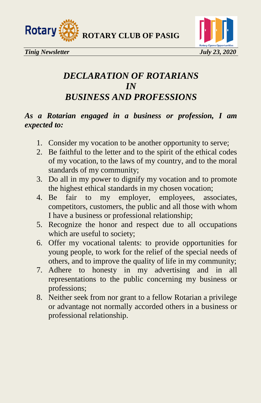



### *DECLARATION OF ROTARIANS IN BUSINESS AND PROFESSIONS*

#### *As a Rotarian engaged in a business or profession, I am expected to:*

- 1. Consider my vocation to be another opportunity to serve;
- 2. Be faithful to the letter and to the spirit of the ethical codes of my vocation, to the laws of my country, and to the moral standards of my community;
- 3. Do all in my power to dignify my vocation and to promote the highest ethical standards in my chosen vocation;
- 4. Be fair to my employer, employees, associates, competitors, customers, the public and all those with whom I have a business or professional relationship;
- 5. Recognize the honor and respect due to all occupations which are useful to society;
- 6. Offer my vocational talents: to provide opportunities for young people, to work for the relief of the special needs of others, and to improve the quality of life in my community;
- 7. Adhere to honesty in my advertising and in all representations to the public concerning my business or professions;
- 8. Neither seek from nor grant to a fellow Rotarian a privilege or advantage not normally accorded others in a business or professional relationship.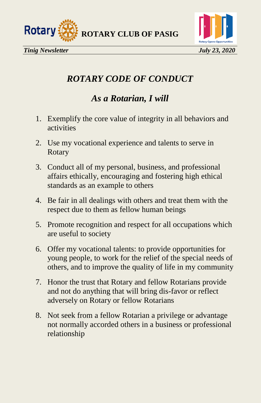



### *ROTARY CODE OF CONDUCT*

### *As a Rotarian, I will*

- 1. Exemplify the core value of integrity in all behaviors and activities
- 2. Use my vocational experience and talents to serve in Rotary
- 3. Conduct all of my personal, business, and professional affairs ethically, encouraging and fostering high ethical standards as an example to others
- 4. Be fair in all dealings with others and treat them with the respect due to them as fellow human beings
- 5. Promote recognition and respect for all occupations which are useful to society
- 6. Offer my vocational talents: to provide opportunities for young people, to work for the relief of the special needs of others, and to improve the quality of life in my community
- 7. Honor the trust that Rotary and fellow Rotarians provide and not do anything that will bring dis-favor or reflect adversely on Rotary or fellow Rotarians
- 8. Not seek from a fellow Rotarian a privilege or advantage not normally accorded others in a business or professional relationship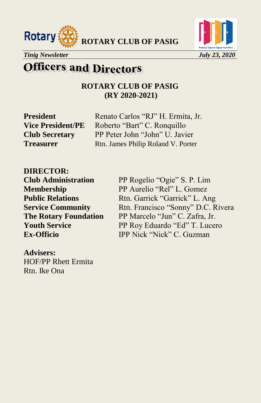



## **Officers and Directors**

**ROTARY CLUB OF PASIG (RY 2020-2021)**

**President** Renato Carlos "RJ" H. Ermita, Jr. Vice President/PE Roberto "Bart" C. Ronquillo **Club Secretary** PP Peter John "John" U. Javier **Treasurer** Rtn. James Philip Roland V. Porter

**DIRECTOR:** 

**Advisers:**  HOF/PP Rhett Ermita Rtn. Ike Ona

**Club Administration** PP Rogelio "Ogie" S. P. Lim **Membership** PP Aurelio "Rel" L. Gomez **Public Relations** Rtn. Garrick "Garrick" L. Ang **Service Community** Rtn. Francisco "Sonny" D.C. Rivera **The Rotary Foundation** PP Marcelo "Jun" C. Zafra, Jr. **Youth Service** PP Roy Eduardo "Ed" T. Lucero **Ex-Officio IPP Nick "Nick" C. Guzman**